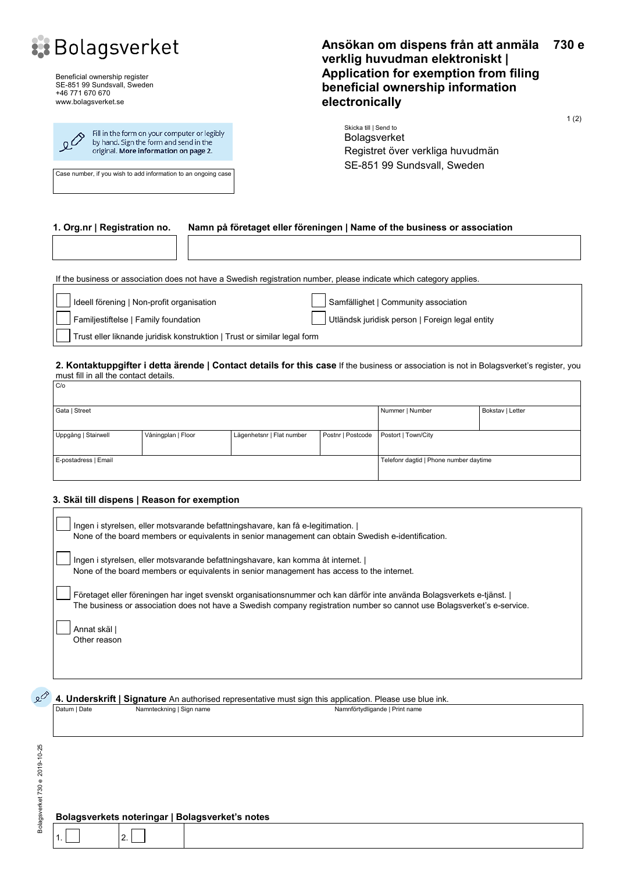

Beneficial ownership register SE-851 99 Sundsvall, Sweden +46 771 670 670 www.bolagsverket.se



Case number, if you wish to add information to an ongoing case

#### **Ansökan om dispens från att anmäla verklig huvudman elektroniskt | Application for exemption from filing beneficial ownership information electronically 730 e**

1 (2)

Skicka till | Send to Bolagsverket Registret över verkliga huvudmän SE-851 99 Sundsvall, Sweden

#### **1. Org.nr | Registration no. Namn på företaget eller föreningen | Name of the business or association**

If the business or association does not have a Swedish registration number, please indicate which category applies.

| Ideell förening   Non-profit organisation                                | Samfällighet   Community association            |  |  |  |
|--------------------------------------------------------------------------|-------------------------------------------------|--|--|--|
| Familjestiftelse   Family foundation                                     | Utländsk juridisk person   Foreign legal entity |  |  |  |
| Trust eller liknande juridisk konstruktion   Trust or similar legal form |                                                 |  |  |  |

#### **2. Kontaktuppgifter i detta ärende | Contact details for this case** If the business or association is not in Bolagsverket's register, you must fill in all the contact details.

| C/O                  |                    |                                        |                   |                     |  |  |  |  |  |
|----------------------|--------------------|----------------------------------------|-------------------|---------------------|--|--|--|--|--|
|                      |                    |                                        |                   |                     |  |  |  |  |  |
| Gata   Street        |                    | Nummer   Number                        | Bokstav   Letter  |                     |  |  |  |  |  |
|                      |                    |                                        |                   |                     |  |  |  |  |  |
| Uppgång   Stairwell  | Våningplan   Floor | Lägenhetsnr   Flat number              | Postnr   Postcode | Postort   Town/City |  |  |  |  |  |
|                      |                    |                                        |                   |                     |  |  |  |  |  |
| E-postadress   Email |                    | Telefonr dagtid   Phone number daytime |                   |                     |  |  |  |  |  |
|                      |                    |                                        |                   |                     |  |  |  |  |  |

#### **3. Skäl till dispens | Reason for exemption**

| Ingen i styrelsen, eller motsvarande befattningshavare, kan få e-legitimation.<br>None of the board members or equivalents in senior management can obtain Swedish e-identification.                                                            |  |
|-------------------------------------------------------------------------------------------------------------------------------------------------------------------------------------------------------------------------------------------------|--|
| Ingen i styrelsen, eller motsvarande befattningshavare, kan komma åt internet.<br>None of the board members or equivalents in senior management has access to the internet.                                                                     |  |
| Företaget eller föreningen har inget svenskt organisationsnummer och kan därför inte använda Bolagsverkets e-tjänst.<br>The business or association does not have a Swedish company registration number so cannot use Bolagsverket's e-service. |  |
| Annat skäl l<br>Other reason                                                                                                                                                                                                                    |  |

**4.** Underskrift | Signature An authorised representative must sign this application. Please use blue ink.<br>
Datum | Datum | Date | Nammteckning | Sign name Namnförtydligande | Print name

Bolagsverket 730 e 2019-10-25 Bolagsverket 730 e 2019-10-25

#### **Bolagsverkets noteringar | Bolagsverket's notes**

 $1.$  2.